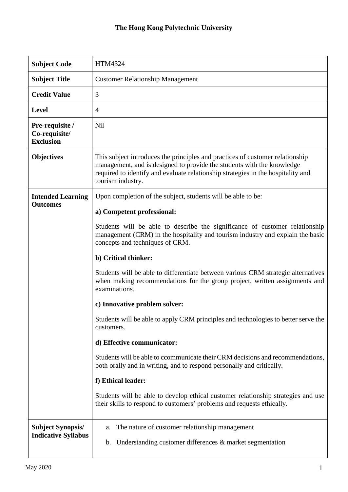## **The Hong Kong Polytechnic University**

| <b>Subject Code</b>                                    | HTM4324                                                                                                                                                                                                                                                          |
|--------------------------------------------------------|------------------------------------------------------------------------------------------------------------------------------------------------------------------------------------------------------------------------------------------------------------------|
| <b>Subject Title</b>                                   | <b>Customer Relationship Management</b>                                                                                                                                                                                                                          |
| <b>Credit Value</b>                                    | 3                                                                                                                                                                                                                                                                |
| <b>Level</b>                                           | $\overline{4}$                                                                                                                                                                                                                                                   |
| Pre-requisite /<br>Co-requisite/<br><b>Exclusion</b>   | Nil                                                                                                                                                                                                                                                              |
| <b>Objectives</b>                                      | This subject introduces the principles and practices of customer relationship<br>management, and is designed to provide the students with the knowledge<br>required to identify and evaluate relationship strategies in the hospitality and<br>tourism industry. |
| <b>Intended Learning</b>                               | Upon completion of the subject, students will be able to be:                                                                                                                                                                                                     |
| <b>Outcomes</b>                                        | a) Competent professional:                                                                                                                                                                                                                                       |
|                                                        | Students will be able to describe the significance of customer relationship<br>management (CRM) in the hospitality and tourism industry and explain the basic<br>concepts and techniques of CRM.                                                                 |
|                                                        | b) Critical thinker:                                                                                                                                                                                                                                             |
|                                                        | Students will be able to differentiate between various CRM strategic alternatives<br>when making recommendations for the group project, written assignments and<br>examinations.                                                                                 |
|                                                        | c) Innovative problem solver:                                                                                                                                                                                                                                    |
|                                                        | Students will be able to apply CRM principles and technologies to better serve the<br>customers.                                                                                                                                                                 |
|                                                        | d) Effective communicator:                                                                                                                                                                                                                                       |
|                                                        | Students will be able to ccommunicate their CRM decisions and recommendations,<br>both orally and in writing, and to respond personally and critically.                                                                                                          |
|                                                        | f) Ethical leader:                                                                                                                                                                                                                                               |
|                                                        | Students will be able to develop ethical customer relationship strategies and use<br>their skills to respond to customers' problems and requests ethically.                                                                                                      |
| <b>Subject Synopsis/</b><br><b>Indicative Syllabus</b> | The nature of customer relationship management<br>a.<br>b. Understanding customer differences & market segmentation                                                                                                                                              |